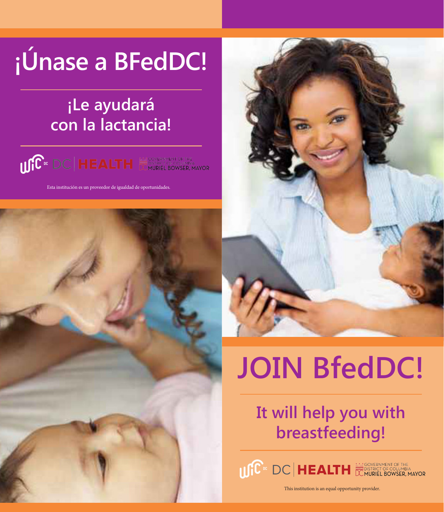# **¡Únase a BFedDC!**

## **¡Le ayudará con la lactancia!**



Esta institución es un proveedor de igualdad de oportunidades.

# **JOIN BfedDC!**

## **It will help you with breastfeeding!**

USC<sup>I</sup> DC HEALTH EXPRESSER DURING THE ALTH

This institution is an equal opportunity provider.